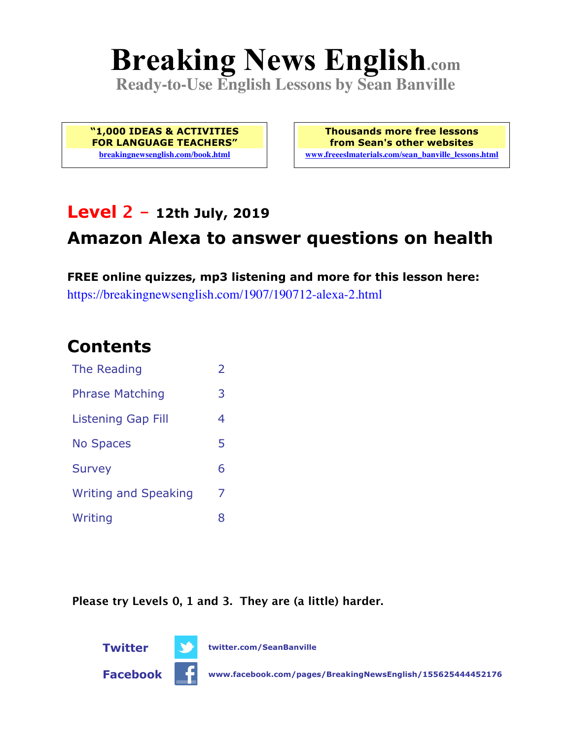# **Breaking News English.com**

**Ready-to-Use English Lessons by Sean Banville**

**"1,000 IDEAS & ACTIVITIES FOR LANGUAGE TEACHERS" breakingnewsenglish.com/book.html**

**Thousands more free lessons from Sean's other websites www.freeeslmaterials.com/sean\_banville\_lessons.html**

### **Level 2 - 12th July, 2019**

### **Amazon Alexa to answer questions on health**

**FREE online quizzes, mp3 listening and more for this lesson here:** https://breakingnewsenglish.com/1907/190712-alexa-2.html

### **Contents**

| The Reading                 | $\overline{\phantom{a}}$ |
|-----------------------------|--------------------------|
| <b>Phrase Matching</b>      | 3                        |
| <b>Listening Gap Fill</b>   | 4                        |
| <b>No Spaces</b>            | 5                        |
| <b>Survey</b>               | 6                        |
| <b>Writing and Speaking</b> | 7                        |
| Writing                     | 8                        |

**Please try Levels 0, 1 and 3. They are (a little) harder.**

**Twitter twitter.com/SeanBanville**



**Facebook www.facebook.com/pages/BreakingNewsEnglish/155625444452176**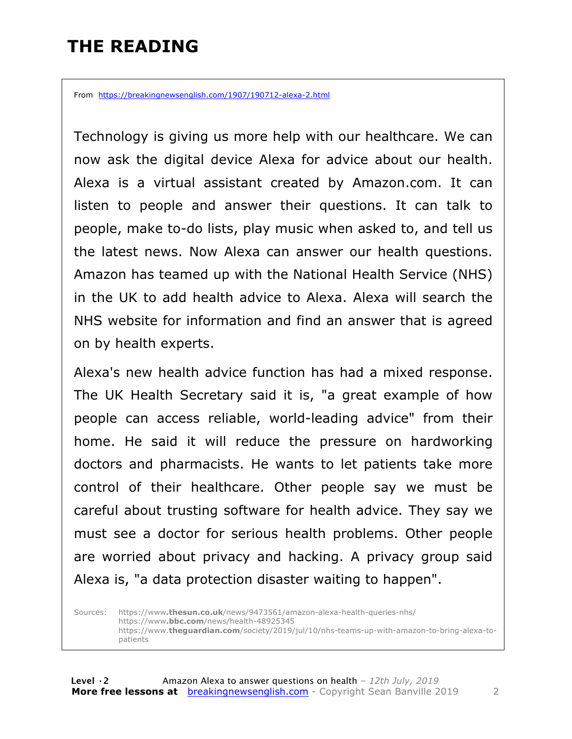## **THE READING**

From https://breakingnewsenglish.com/1907/190712-alexa-2.html

Technology is giving us more help with our healthcare. We can now ask the digital device Alexa for advice about our health. Alexa is a virtual assistant created by Amazon.com. It can listen to people and answer their questions. It can talk to people, make to-do lists, play music when asked to, and tell us the latest news. Now Alexa can answer our health questions. Amazon has teamed up with the National Health Service (NHS) in the UK to add health advice to Alexa. Alexa will search the NHS website for information and find an answer that is agreed on by health experts.

Alexa's new health advice function has had a mixed response. The UK Health Secretary said it is, "a great example of how people can access reliable, world-leading advice" from their home. He said it will reduce the pressure on hardworking doctors and pharmacists. He wants to let patients take more control of their healthcare. Other people say we must be careful about trusting software for health advice. They say we must see a doctor for serious health problems. Other people are worried about privacy and hacking. A privacy group said Alexa is, "a data protection disaster waiting to happen".

Sources: https://www**.thesun.co.uk**/news/9473561/amazon-alexa-health-queries-nhs/ https://www**.bbc.com**/news/health-48925345 https://www.**theguardian.com**/society/2019/jul/10/nhs-teams-up-with-amazon-to-bring-alexa-topatients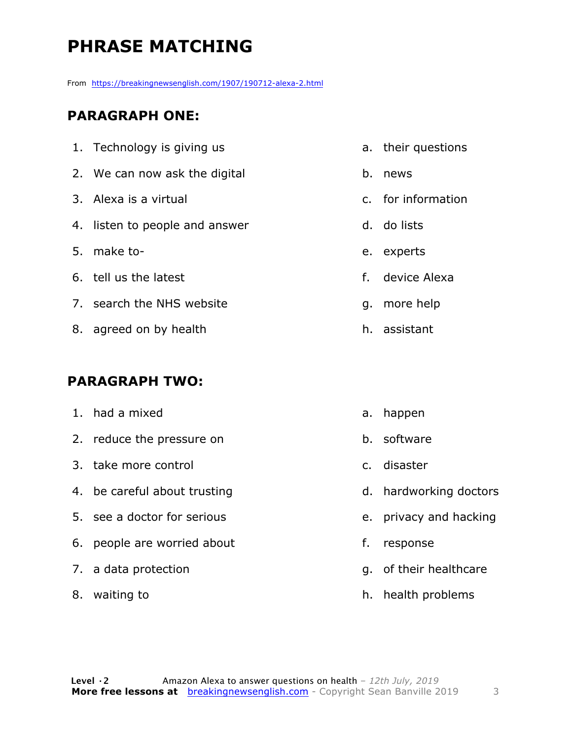# **PHRASE MATCHING**

From https://breakingnewsenglish.com/1907/190712-alexa-2.html

#### **PARAGRAPH ONE:**

| 1. Technology is giving us     |    | a. their questions |
|--------------------------------|----|--------------------|
| 2. We can now ask the digital  |    | b. news            |
| 3. Alexa is a virtual          |    | c. for information |
| 4. listen to people and answer |    | d. do lists        |
| 5. make to-                    |    | e. experts         |
| 6. tell us the latest          | f. | device Alexa       |
| 7. search the NHS website      | q. | more help          |
| 8. agreed on by health         |    | h. assistant       |
|                                |    |                    |

#### **PARAGRAPH TWO:**

| 1. had a mixed               |    | a. happen              |
|------------------------------|----|------------------------|
| 2. reduce the pressure on    |    | b. software            |
| 3. take more control         |    | c. disaster            |
| 4. be careful about trusting |    | d. hardworking doctors |
| 5. see a doctor for serious  |    | e. privacy and hacking |
| 6. people are worried about  | f. | response               |
| 7. a data protection         |    | g. of their healthcare |
| 8. waiting to                |    | h. health problems     |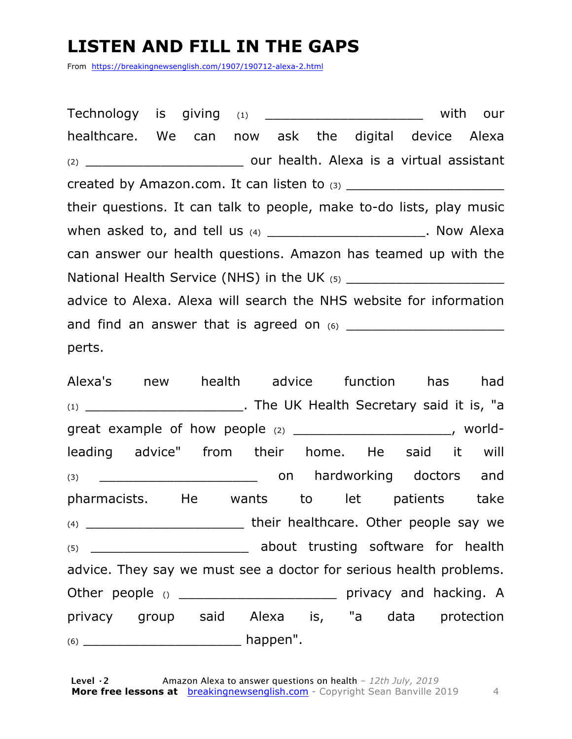## **LISTEN AND FILL IN THE GAPS**

From https://breakingnewsenglish.com/1907/190712-alexa-2.html

Technology is giving  $(1)$   $(2)$   $(3)$   $(4)$   $(5)$   $(6)$   $(7)$   $(8)$   $(8)$   $(9)$   $(10)$ healthcare. We can now ask the digital device Alexa (2) \_\_\_\_\_\_\_\_\_\_\_\_\_\_\_\_\_\_\_ our health. Alexa is a virtual assistant created by Amazon.com. It can listen to (3) \_\_\_\_\_\_\_\_\_\_\_\_\_\_\_\_\_\_\_ their questions. It can talk to people, make to-do lists, play music when asked to, and tell us  $(4)$  \_\_\_\_\_\_\_\_\_\_\_\_\_\_\_\_\_\_\_\_\_\_\_. Now Alexa can answer our health questions. Amazon has teamed up with the National Health Service (NHS) in the UK  $(5)$ advice to Alexa. Alexa will search the NHS website for information and find an answer that is agreed on (6) \_\_\_\_\_\_\_\_\_\_\_\_\_\_\_\_\_\_\_ perts.

Alexa's new health advice function has had (1) \_\_\_\_\_\_\_\_\_\_\_\_\_\_\_\_\_\_\_. The UK Health Secretary said it is, "a great example of how people (2) \_\_\_\_\_\_\_\_\_\_\_\_\_\_\_\_\_\_\_\_\_\_, worldleading advice" from their home. He said it will (3) \_\_\_\_\_\_\_\_\_\_\_\_\_\_\_\_\_\_\_ on hardworking doctors and pharmacists. He wants to let patients take (4) \_\_\_\_\_\_\_\_\_\_\_\_\_\_\_\_\_\_\_ their healthcare. Other people say we (5) \_\_\_\_\_\_\_\_\_\_\_\_\_\_\_\_\_\_\_ about trusting software for health advice. They say we must see a doctor for serious health problems. Other people () \_\_\_\_\_\_\_\_\_\_\_\_\_\_\_\_\_\_\_\_\_\_\_\_\_\_\_ privacy and hacking. A privacy group said Alexa is, "a data protection (6) \_\_\_\_\_\_\_\_\_\_\_\_\_\_\_\_\_\_\_ happen".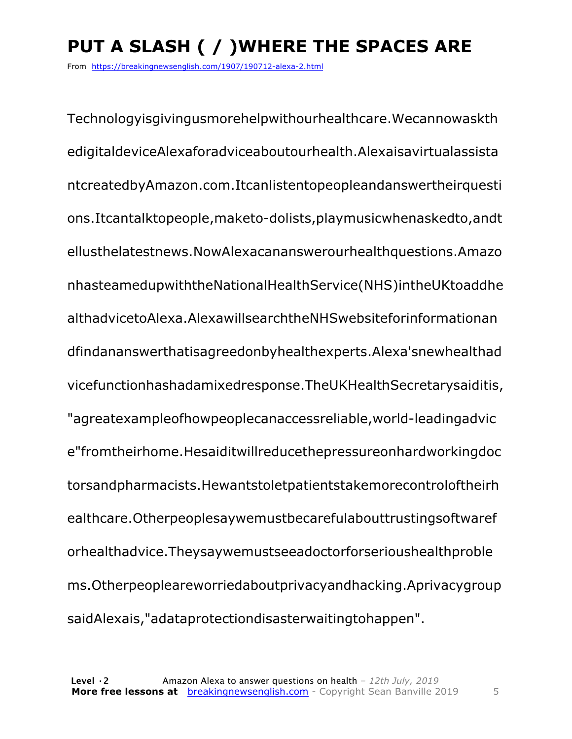# **PUT A SLASH ( / )WHERE THE SPACES ARE**

From https://breakingnewsenglish.com/1907/190712-alexa-2.html

Technologyisgivingusmorehelpwithourhealthcare.Wecannowaskth edigitaldeviceAlexaforadviceaboutourhealth.Alexaisavirtualassista ntcreatedbyAmazon.com.Itcanlistentopeopleandanswertheirquesti ons.Itcantalktopeople,maketo-dolists,playmusicwhenaskedto,andt ellusthelatestnews.NowAlexacananswerourhealthquestions.Amazo nhasteamedupwiththeNationalHealthService(NHS)intheUKtoaddhe althadvicetoAlexa.AlexawillsearchtheNHSwebsiteforinformationan dfindananswerthatisagreedonbyhealthexperts.Alexa'snewhealthad vicefunctionhashadamixedresponse.TheUKHealthSecretarysaiditis, "agreatexampleofhowpeoplecanaccessreliable,world-leadingadvic e"fromtheirhome.Hesaiditwillreducethepressureonhardworkingdoc torsandpharmacists.Hewantstoletpatientstakemorecontroloftheirh ealthcare.Otherpeoplesaywemustbecarefulabouttrustingsoftwaref orhealthadvice.Theysaywemustseeadoctorforserioushealthproble ms.Otherpeopleareworriedaboutprivacyandhacking.Aprivacygroup saidAlexais,"adataprotectiondisasterwaitingtohappen".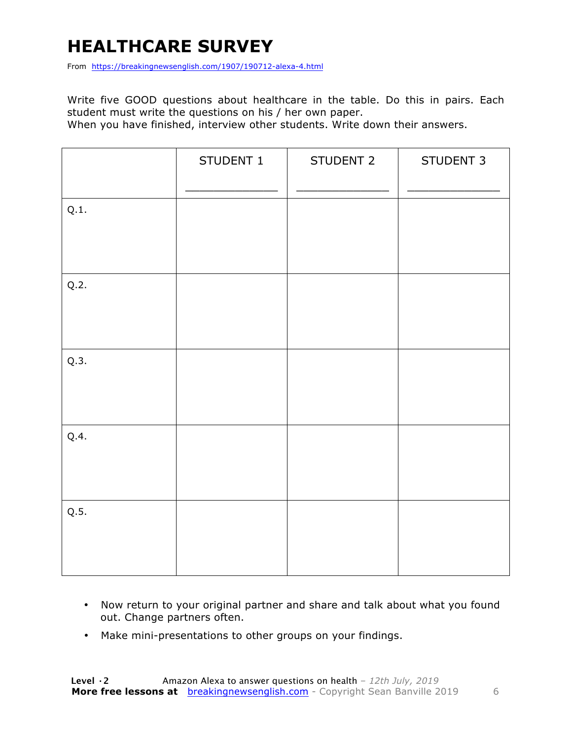# **HEALTHCARE SURVEY**

From https://breakingnewsenglish.com/1907/190712-alexa-4.html

Write five GOOD questions about healthcare in the table. Do this in pairs. Each student must write the questions on his / her own paper.

When you have finished, interview other students. Write down their answers.

|      | STUDENT 1 | STUDENT 2 | STUDENT 3 |
|------|-----------|-----------|-----------|
| Q.1. |           |           |           |
| Q.2. |           |           |           |
| Q.3. |           |           |           |
| Q.4. |           |           |           |
| Q.5. |           |           |           |

- Now return to your original partner and share and talk about what you found out. Change partners often.
- Make mini-presentations to other groups on your findings.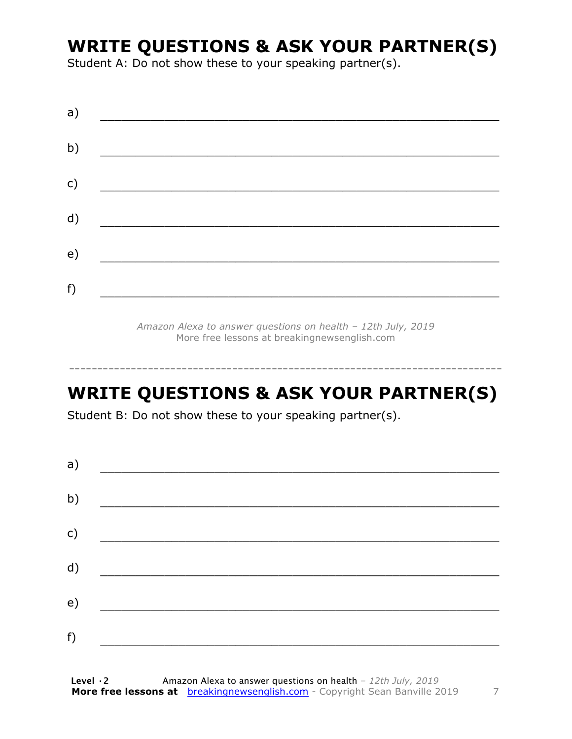### **WRITE QUESTIONS & ASK YOUR PARTNER(S)**

Student A: Do not show these to your speaking partner(s).

| a) |  |  |
|----|--|--|
| b) |  |  |
| c) |  |  |
| d) |  |  |
| e) |  |  |
|    |  |  |
| f) |  |  |

*Amazon Alexa to answer questions on health – 12th July, 2019* More free lessons at breakingnewsenglish.com

-----------------------------------------------------------------------------

## **WRITE QUESTIONS & ASK YOUR PARTNER(S)**

Student B: Do not show these to your speaking partner(s).

| a) |  |  |
|----|--|--|
| b) |  |  |
| c) |  |  |
| d) |  |  |
| e) |  |  |
| f) |  |  |
|    |  |  |